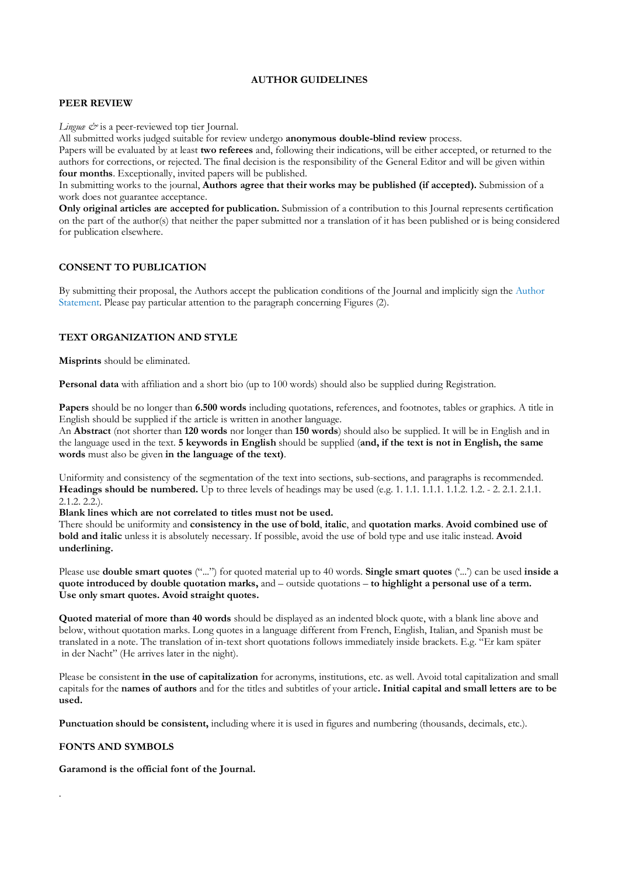### **AUTHOR GUIDELINES**

# **PEER REVIEW**

*Linguæ &* is a peer-reviewed top tier Journal.

All submitted works judged suitable for review undergo **anonymous double-blind review** process.

Papers will be evaluated by at least **two referees** and, following their indications, will be either accepted, or returned to the authors for corrections, or rejected. The final decision is the responsibility of the General Editor and will be given within **four months**. Exceptionally, invited papers will be published.

In submitting works to the journal, **Authors agree that their works may be published (if accepted).** Submission of a work does not guarantee acceptance.

**Only original articles are accepted for publication.** Submission of a contribution to this Journal represents certification on the part of the author(s) that neither the paper submitted nor a translation of it has been published or is being considered for publication elsewhere.

# **CONSENT TO PUBLICATION**

By submitting their proposal, the Authors accept the publication conditions of the Journal and implicitly sign the [Author](https://journals.uniurb.it/index.php/linguae/libraryFiles/downloadPublic/53)  [Statement.](https://journals.uniurb.it/index.php/linguae/libraryFiles/downloadPublic/53) Please pay particular attention to the paragraph concerning Figures (2).

# **TEXT ORGANIZATION AND STYLE**

**Misprints** should be eliminated.

**Personal data** with affiliation and a short bio (up to 100 words) should also be supplied during Registration.

**Papers** should be no longer than **6.500 words** including quotations, references, and footnotes, tables or graphics. A title in English should be supplied if the article is written in another language.

An **Abstract** (not shorter than **120 words** nor longer than **150 words**) should also be supplied. It will be in English and in the language used in the text. **5 keywords in English** should be supplied (**and, if the text is not in English, the same words** must also be given **in the language of the text)**.

Uniformity and consistency of the segmentation of the text into sections, sub-sections, and paragraphs is recommended. **Headings should be numbered.** Up to three levels of headings may be used (e.g. 1. 1.1. 1.1.1. 1.1.2. 1.2. - 2. 2.1. 2.1.1. 2.1.2. 2.2.).

**Blank lines which are not correlated to titles must not be used.**

There should be uniformity and **consistency in the use of bold**, **italic**, and **quotation marks**. **Avoid combined use of bold and italic** unless it is absolutely necessary. If possible, avoid the use of bold type and use italic instead. **Avoid underlining.** 

Please use **double smart quotes** ("...") for quoted material up to 40 words. **Single smart quotes** ('...') can be used **inside a quote introduced by double quotation marks,** and – outside quotations – **to highlight a personal use of a term. Use only smart quotes. Avoid straight quotes.** 

**Quoted material of more than 40 words** should be displayed as an indented block quote, with a blank line above and below, without quotation marks. Long quotes in a language different from French, English, Italian, and Spanish must be translated in a note. The translation of in-text short quotations follows immediately inside brackets. E.g. "Er kam später in der Nacht" (He arrives later in the night).

Please be consistent **in the use of capitalization** for acronyms, institutions, etc. as well. Avoid total capitalization and small capitals for the **names of authors** and for the titles and subtitles of your article**. Initial capital and small letters are to be used.**

**Punctuation should be consistent,** including where it is used in figures and numbering (thousands, decimals, etc.).

### **FONTS AND SYMBOLS**

.

**Garamond is the official font of the Journal.**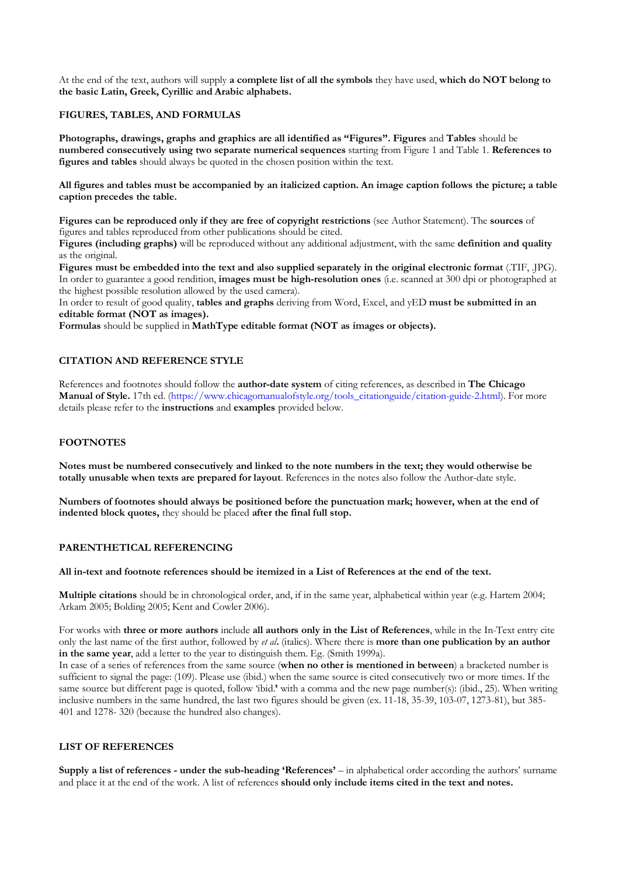At the end of the text, authors will supply **a complete list of all the symbols** they have used, **which do NOT belong to the basic Latin, Greek, Cyrillic and Arabic alphabets.** 

### **FIGURES, TABLES, AND FORMULAS**

**Photographs, drawings, graphs and graphics are all identified as "Figures". Figures** and **Tables** should be **numbered consecutively using two separate numerical sequences** starting from Figure 1 and Table 1. **References to figures and tables** should always be quoted in the chosen position within the text.

**All figures and tables must be accompanied by an italicized caption. An image caption follows the picture; a table caption precedes the table.** 

**Figures can be reproduced only if they are free of copyright restrictions** (see Author Statement). The **sources** of figures and tables reproduced from other publications should be cited.

**Figures (including graphs)** will be reproduced without any additional adjustment, with the same **definition and quality**  as the original.

**Figures must be embedded into the text and also supplied separately in the original electronic format** (.TIF, .JPG). In order to guarantee a good rendition, **images must be high-resolution ones** (i.e. scanned at 300 dpi or photographed at the highest possible resolution allowed by the used camera).

In order to result of good quality, **tables and graphs** deriving from Word, Excel, and yED **must be submitted in an editable format (NOT as images).**

**Formulas** should be supplied in **MathType editable format (NOT as images or objects).** 

# **CITATION AND REFERENCE STYLE**

References and footnotes should follow the **author-date system** of citing references, as described in **The Chicago Manual of Style.** 17th ed. (https://www.chicagomanualofstyle.org/tools\_citationguide/citation-guide-2.html). For more details please refer to the **instructions** and **examples** provided below.

# **FOOTNOTES**

**Notes must be numbered consecutively and linked to the note numbers in the text; they would otherwise be totally unusable when texts are prepared for layout**. References in the notes also follow the Author-date style.

**Numbers of footnotes should always be positioned before the punctuation mark; however, when at the end of indented block quotes,** they should be placed **after the final full stop.** 

### **PARENTHETICAL REFERENCING**

#### **All in-text and footnote references should be itemized in a List of References at the end of the text.**

**Multiple citations** should be in chronological order, and, if in the same year, alphabetical within year (e.g. Hartem 2004; Arkam 2005; Bolding 2005; Kent and Cowler 2006).

For works with **three or more authors** include **all authors only in the List of References**, while in the In-Text entry cite only the last name of the first author, followed by *et al***.** (italics). Where there is **more than one publication by an author in the same year**, add a letter to the year to distinguish them. Eg. (Smith 1999a).

In case of a series of references from the same source (**when no other is mentioned in between**) a bracketed number is sufficient to signal the page: (109). Please use (ibid.) when the same source is cited consecutively two or more times. If the same source but different page is quoted, follow 'ibid.**'** with a comma and the new page number(s): (ibid., 25). When writing inclusive numbers in the same hundred, the last two figures should be given (ex. 11-18, 35-39, 103-07, 1273-81), but 385- 401 and 1278- 320 (because the hundred also changes).

### **LIST OF REFERENCES**

**Supply a list of references - under the sub-heading 'References'** – in alphabetical order according the authors' surname and place it at the end of the work. A list of references **should only include items cited in the text and notes.**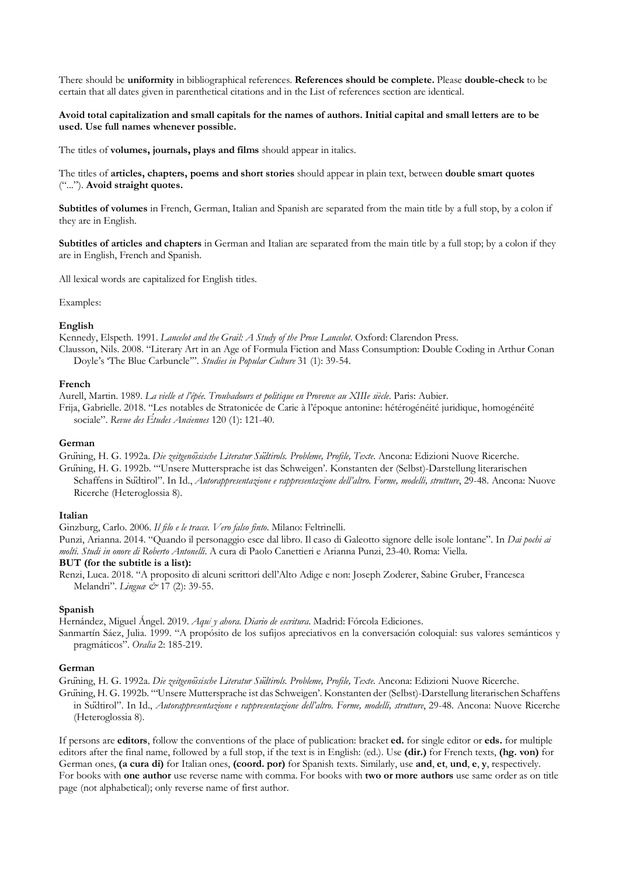There should be **uniformity** in bibliographical references. **References should be complete.** Please **double-check** to be certain that all dates given in parenthetical citations and in the List of references section are identical.

### **Avoid total capitalization and small capitals for the names of authors. Initial capital and small letters are to be used. Use full names whenever possible.**

The titles of **volumes, journals, plays and films** should appear in italics.

The titles of **articles, chapters, poems and short stories** should appear in plain text, between **double smart quotes**  ("..."). **Avoid straight quotes.**

**Subtitles of volumes** in French, German, Italian and Spanish are separated from the main title by a full stop, by a colon if they are in English.

**Subtitles of articles and chapters** in German and Italian are separated from the main title by a full stop; by a colon if they are in English, French and Spanish.

All lexical words are capitalized for English titles.

#### Examples:

#### **English**

Kennedy, Elspeth. 1991. *Lancelot and the Grail: A Study of the Prose Lancelot*. Oxford: Clarendon Press.

Clausson, Nils. 2008. "Literary Art in an Age of Formula Fiction and Mass Consumption: Double Coding in Arthur Conan Doyle's 'The Blue Carbuncle'". *Studies in Popular Culture* 31 (1): 39-54.

#### **French**

Aurell, Martin. 1989. *La vielle et l'épée. Troubadours et politique en Provence au XIIIe siècle*. Paris: Aubier.

Frija, Gabrielle. 2018. "Les notables de Stratonicée de Carie à l'époque antonine: hétérogénéité juridique, homogénéité sociale". *Revue des Études Anciennes* 120 (1): 121-40.

#### **German**

Grüning, H. G. 1992a. *Die zeitgenössische Literatur Südtirols. Probleme, Profile, Texte*. Ancona: Edizioni Nuove Ricerche.

Grüning, H. G. 1992b. "'Unsere Muttersprache ist das Schweigen'. Konstanten der (Selbst)-Darstellung literarischen Schaffens in Sudtirol". In Id., *Autorappresentazione e rappresentazione dell'altro. Forme, modelli, strutture*, 29-48. Ancona: Nuove Ricerche (Heteroglossia 8).

#### **Italian**

Ginzburg, Carlo. 2006. *Il filo e le tracce. Vero falso finto*. Milano: Feltrinelli.

Punzi, Arianna. 2014. "Quando il personaggio esce dal libro. Il caso di Galeotto signore delle isole lontane". In *Dai pochi ai molti. Studi in onore di Roberto Antonelli*. A cura di Paolo Canettieri e Arianna Punzi, 23-40. Roma: Viella.

#### **BUT (for the subtitle is a list):**

Renzi, Luca. 2018. "A proposito di alcuni scrittori dell'Alto Adige e non: Joseph Zoderer, Sabine Gruber, Francesca Melandri". *Linguæ &* 17 (2): 39-55.

#### **Spanish**

Hernández, Miguel Ángel. 2019. *Aquí y ahora. Diario de escritura*. Madrid: Fórcola Ediciones.

Sanmartín Sáez, Julia. 1999. "A propósito de los sufijos apreciativos en la conversación coloquial: sus valores semánticos y pragmáticos". *Oralia* 2: 185-219.

### **German**

Grüning, H. G. 1992a. *Die zeitgenössische Literatur Südtirols. Probleme, Profile, Texte*. Ancona: Edizioni Nuove Ricerche.

Grüning, H. G. 1992b. "'Unsere Muttersprache ist das Schweigen'. Konstanten der (Selbst)-Darstellung literarischen Schaffens in Südtirol". In Id., *Autorappresentazione e rappresentazione dell'altro. Forme, modelli, strutture*, 29-48. Ancona: Nuove Ricerche (Heteroglossia 8).

If persons are **editors**, follow the conventions of the place of publication: bracket **ed.** for single editor or **eds.** for multiple editors after the final name, followed by a full stop, if the text is in English: (ed.). Use **(dir.)** for French texts, **(hg. von)** for German ones, **(a cura di)** for Italian ones, **(coord. por)** for Spanish texts. Similarly, use **and**, **et**, **und**, **e**, **y**, respectively. For books with **one author** use reverse name with comma. For books with **two or more authors** use same order as on title page (not alphabetical); only reverse name of first author.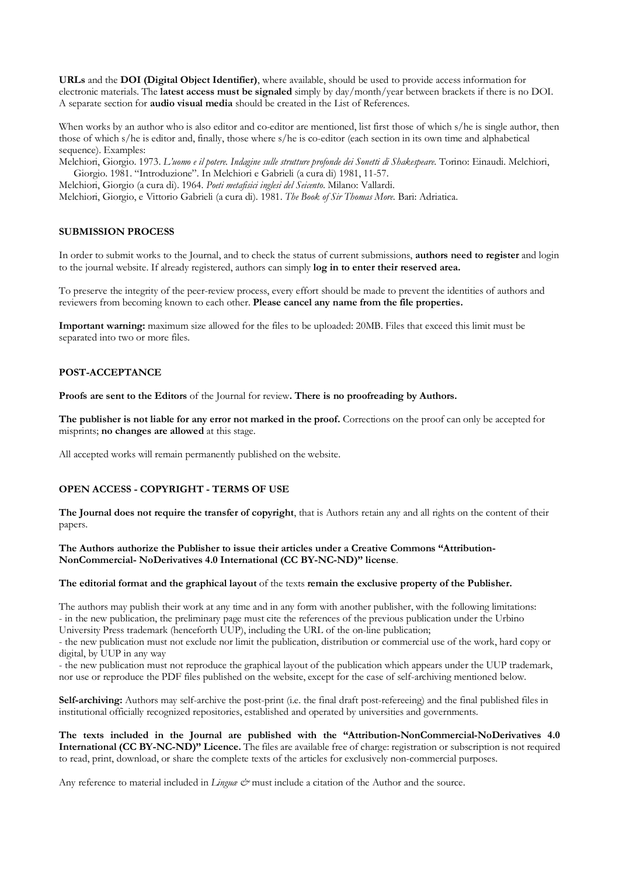**URLs** and the **DOI (Digital Object Identifier)**, where available, should be used to provide access information for electronic materials. The **latest access must be signaled** simply by day/month/year between brackets if there is no DOI. A separate section for **audio visual media** should be created in the List of References.

When works by an author who is also editor and co-editor are mentioned, list first those of which s/he is single author, then those of which s/he is editor and, finally, those where s/he is co-editor (each section in its own time and alphabetical sequence). Examples:

Melchiori, Giorgio. 1973. *L'uomo e il potere. Indagine sulle strutture profonde dei Sonetti di Shakespeare*. Torino: Einaudi. Melchiori, Giorgio. 1981. "Introduzione". In Melchiori e Gabrieli (a cura di) 1981, 11-57.

Melchiori, Giorgio (a cura di). 1964. *Poeti metafisici inglesi del Seicento*. Milano: Vallardi.

Melchiori, Giorgio, e Vittorio Gabrieli (a cura di). 1981. *The Book of Sir Thomas More*. Bari: Adriatica.

### **SUBMISSION PROCESS**

In order to submit works to the Journal, and to check the status of current submissions, **authors need to register** and login to the journal website. If already registered, authors can simply **log in to enter their reserved area.**

To preserve the integrity of the peer-review process, every effort should be made to prevent the identities of authors and reviewers from becoming known to each other. **Please cancel any name from the file properties.** 

**Important warning:** maximum size allowed for the files to be uploaded: 20MB. Files that exceed this limit must be separated into two or more files.

# **POST-ACCEPTANCE**

**Proofs are sent to the Editors** of the Journal for review**. There is no proofreading by Authors.** 

**The publisher is not liable for any error not marked in the proof.** Corrections on the proof can only be accepted for misprints; **no changes are allowed** at this stage.

All accepted works will remain permanently published on the website.

### **OPEN ACCESS - COPYRIGHT - TERMS OF USE**

**The Journal does not require the transfer of copyright**, that is Authors retain any and all rights on the content of their papers.

**The Authors authorize the Publisher to issue their articles under a Creative Commons "Attribution-NonCommercial- NoDerivatives 4.0 International (CC BY-NC-ND)" license**.

### **The editorial format and the graphical layout** of the texts **remain the exclusive property of the Publisher.**

The authors may publish their work at any time and in any form with another publisher, with the following limitations: - in the new publication, the preliminary page must cite the references of the previous publication under the Urbino University Press trademark (henceforth UUP), including the URL of the on-line publication;

- the new publication must not exclude nor limit the publication, distribution or commercial use of the work, hard copy or digital, by UUP in any way

- the new publication must not reproduce the graphical layout of the publication which appears under the UUP trademark, nor use or reproduce the PDF files published on the website, except for the case of self-archiving mentioned below.

**Self-archiving:** Authors may self-archive the post-print (i.e. the final draft post-refereeing) and the final published files in institutional officially recognized repositories, established and operated by universities and governments.

**The texts included in the Journal are published with the "Attribution-NonCommercial-NoDerivatives 4.0 International (CC BY-NC-ND)" Licence.** The files are available free of charge: registration or subscription is not required to read, print, download, or share the complete texts of the articles for exclusively non-commercial purposes.

Any reference to material included in *Lingua &* must include a citation of the Author and the source.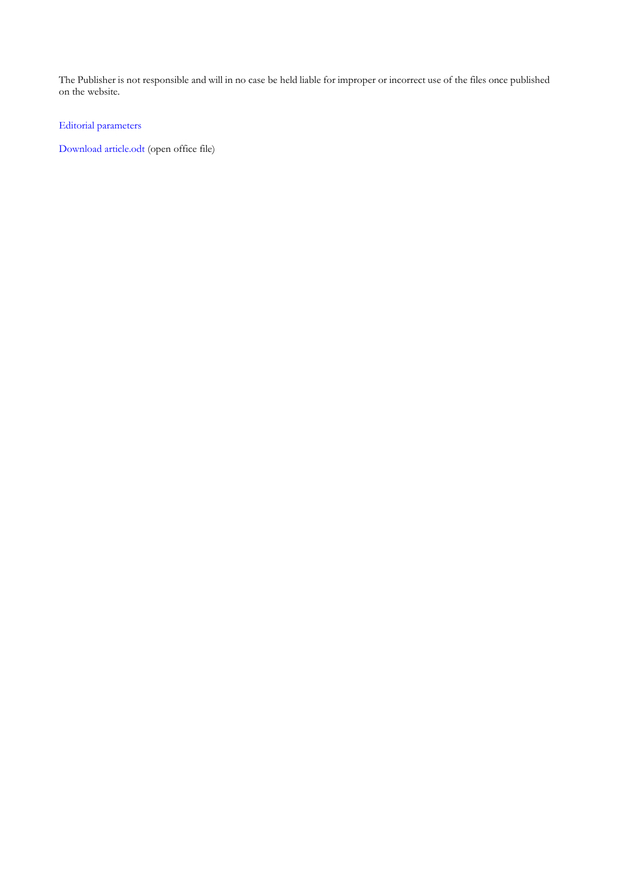The Publisher is not responsible and will in no case be held liable for improper or incorrect use of the files once published on the website.

[Editorial parameters](https://drive.google.com/file/d/1rnnb19Wm1OcJ6M9ZcWxWjaAEG-LTKzSG/view?usp=sharing)

[Download article.odt \(open office file\)](https://drive.google.com/file/d/1iLqUY_RXz-Lba6QO-D32-nt8aVr9Qr0U/view?usp=sharing)